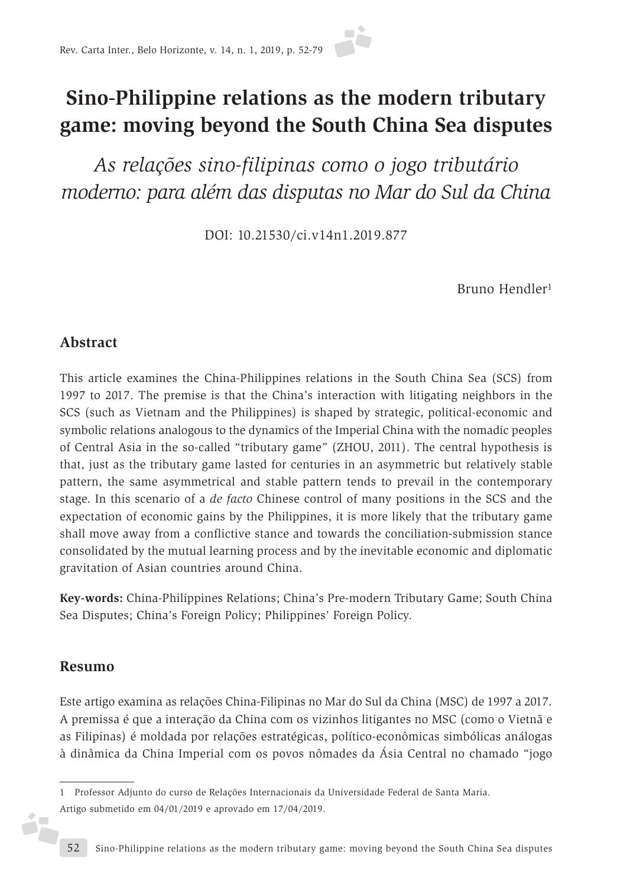# **Sino-Philippine relations as the modern tributary game: moving beyond the South China Sea disputes**

*As relações sino-filipinas como o jogo tributário moderno: para além das disputas no Mar do Sul da China*

DOI: 10.21530/ci.v14n1.2019.877

Bruno Hendler1

#### **Abstract**

This article examines the China-Philippines relations in the South China Sea (SCS) from 1997 to 2017. The premise is that the China's interaction with litigating neighbors in the SCS (such as Vietnam and the Philippines) is shaped by strategic, political-economic and symbolic relations analogous to the dynamics of the Imperial China with the nomadic peoples of Central Asia in the so-called "tributary game" (ZHOU, 2011). The central hypothesis is that, just as the tributary game lasted for centuries in an asymmetric but relatively stable pattern, the same asymmetrical and stable pattern tends to prevail in the contemporary stage. In this scenario of a *de facto* Chinese control of many positions in the SCS and the expectation of economic gains by the Philippines, it is more likely that the tributary game shall move away from a conflictive stance and towards the conciliation-submission stance consolidated by the mutual learning process and by the inevitable economic and diplomatic gravitation of Asian countries around China.

**Key-words:** China-Philippines Relations; China's Pre-modern Tributary Game; South China Sea Disputes; China's Foreign Policy; Philippines' Foreign Policy.

#### **Resumo**

i7

Este artigo examina as relações China-Filipinas no Mar do Sul da China (MSC) de 1997 a 2017. A premissa é que a interação da China com os vizinhos litigantes no MSC (como o Vietnã e as Filipinas) é moldada por relações estratégicas, político-econômicas simbólicas análogas à dinâmica da China Imperial com os povos nômades da Ásia Central no chamado "jogo

<sup>1</sup> Professor Adjunto do curso de Relações Internacionais da Universidade Federal de Santa Maria. Artigo submetido em 04/01/2019 e aprovado em 17/04/2019.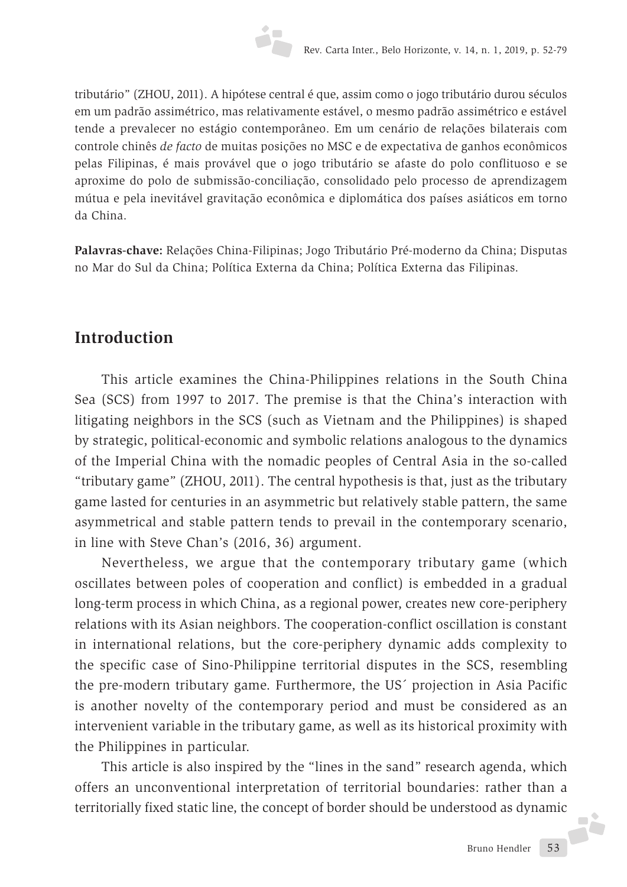tributário" (ZHOU, 2011). A hipótese central é que, assim como o jogo tributário durou séculos em um padrão assimétrico, mas relativamente estável, o mesmo padrão assimétrico e estável tende a prevalecer no estágio contemporâneo. Em um cenário de relações bilaterais com controle chinês *de facto* de muitas posições no MSC e de expectativa de ganhos econômicos pelas Filipinas, é mais provável que o jogo tributário se afaste do polo conflituoso e se aproxime do polo de submissão-conciliação, consolidado pelo processo de aprendizagem mútua e pela inevitável gravitação econômica e diplomática dos países asiáticos em torno da China.

**Palavras-chave:** Relações China-Filipinas; Jogo Tributário Pré-moderno da China; Disputas no Mar do Sul da China; Política Externa da China; Política Externa das Filipinas.

### **Introduction**

This article examines the China-Philippines relations in the South China Sea (SCS) from 1997 to 2017. The premise is that the China's interaction with litigating neighbors in the SCS (such as Vietnam and the Philippines) is shaped by strategic, political-economic and symbolic relations analogous to the dynamics of the Imperial China with the nomadic peoples of Central Asia in the so-called "tributary game" (ZHOU, 2011). The central hypothesis is that, just as the tributary game lasted for centuries in an asymmetric but relatively stable pattern, the same asymmetrical and stable pattern tends to prevail in the contemporary scenario, in line with Steve Chan's (2016, 36) argument.

Nevertheless, we argue that the contemporary tributary game (which oscillates between poles of cooperation and conflict) is embedded in a gradual long-term process in which China, as a regional power, creates new core-periphery relations with its Asian neighbors. The cooperation-conflict oscillation is constant in international relations, but the core-periphery dynamic adds complexity to the specific case of Sino-Philippine territorial disputes in the SCS, resembling the pre-modern tributary game. Furthermore, the US´ projection in Asia Pacific is another novelty of the contemporary period and must be considered as an intervenient variable in the tributary game, as well as its historical proximity with the Philippines in particular.

This article is also inspired by the "lines in the sand" research agenda, which offers an unconventional interpretation of territorial boundaries: rather than a territorially fixed static line, the concept of border should be understood as dynamic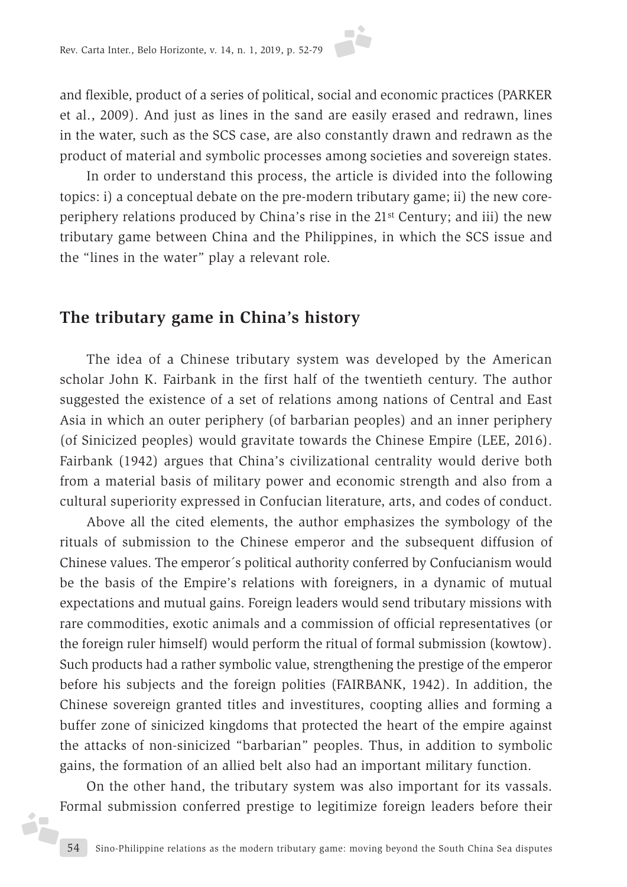and flexible, product of a series of political, social and economic practices (PARKER et al., 2009). And just as lines in the sand are easily erased and redrawn, lines in the water, such as the SCS case, are also constantly drawn and redrawn as the product of material and symbolic processes among societies and sovereign states.

In order to understand this process, the article is divided into the following topics: i) a conceptual debate on the pre-modern tributary game; ii) the new coreperiphery relations produced by China's rise in the 21st Century; and iii) the new tributary game between China and the Philippines, in which the SCS issue and the "lines in the water" play a relevant role.

#### **The tributary game in China's history**

j.

The idea of a Chinese tributary system was developed by the American scholar John K. Fairbank in the first half of the twentieth century. The author suggested the existence of a set of relations among nations of Central and East Asia in which an outer periphery (of barbarian peoples) and an inner periphery (of Sinicized peoples) would gravitate towards the Chinese Empire (LEE, 2016). Fairbank (1942) argues that China's civilizational centrality would derive both from a material basis of military power and economic strength and also from a cultural superiority expressed in Confucian literature, arts, and codes of conduct.

Above all the cited elements, the author emphasizes the symbology of the rituals of submission to the Chinese emperor and the subsequent diffusion of Chinese values. The emperor´s political authority conferred by Confucianism would be the basis of the Empire's relations with foreigners, in a dynamic of mutual expectations and mutual gains. Foreign leaders would send tributary missions with rare commodities, exotic animals and a commission of official representatives (or the foreign ruler himself) would perform the ritual of formal submission (kowtow). Such products had a rather symbolic value, strengthening the prestige of the emperor before his subjects and the foreign polities (FAIRBANK, 1942). In addition, the Chinese sovereign granted titles and investitures, coopting allies and forming a buffer zone of sinicized kingdoms that protected the heart of the empire against the attacks of non-sinicized "barbarian" peoples. Thus, in addition to symbolic gains, the formation of an allied belt also had an important military function.

On the other hand, the tributary system was also important for its vassals. Formal submission conferred prestige to legitimize foreign leaders before their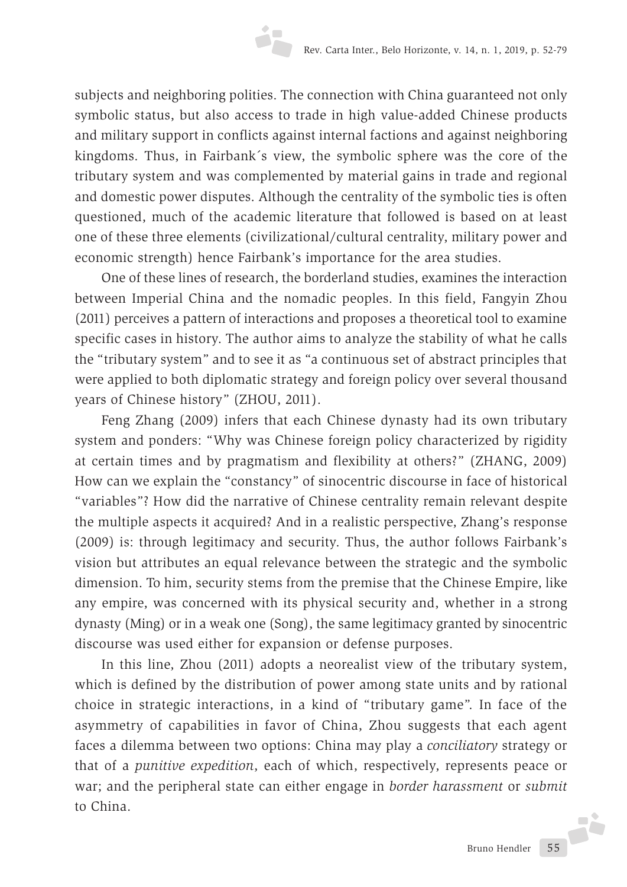subjects and neighboring polities. The connection with China guaranteed not only symbolic status, but also access to trade in high value-added Chinese products and military support in conflicts against internal factions and against neighboring kingdoms. Thus, in Fairbank´s view, the symbolic sphere was the core of the tributary system and was complemented by material gains in trade and regional and domestic power disputes. Although the centrality of the symbolic ties is often questioned, much of the academic literature that followed is based on at least one of these three elements (civilizational/cultural centrality, military power and economic strength) hence Fairbank's importance for the area studies.

One of these lines of research, the borderland studies, examines the interaction between Imperial China and the nomadic peoples. In this field, Fangyin Zhou (2011) perceives a pattern of interactions and proposes a theoretical tool to examine specific cases in history. The author aims to analyze the stability of what he calls the "tributary system" and to see it as "a continuous set of abstract principles that were applied to both diplomatic strategy and foreign policy over several thousand years of Chinese history" (ZHOU, 2011).

Feng Zhang (2009) infers that each Chinese dynasty had its own tributary system and ponders: "Why was Chinese foreign policy characterized by rigidity at certain times and by pragmatism and flexibility at others?" (ZHANG, 2009) How can we explain the "constancy" of sinocentric discourse in face of historical "variables"? How did the narrative of Chinese centrality remain relevant despite the multiple aspects it acquired? And in a realistic perspective, Zhang's response (2009) is: through legitimacy and security. Thus, the author follows Fairbank's vision but attributes an equal relevance between the strategic and the symbolic dimension. To him, security stems from the premise that the Chinese Empire, like any empire, was concerned with its physical security and, whether in a strong dynasty (Ming) or in a weak one (Song), the same legitimacy granted by sinocentric discourse was used either for expansion or defense purposes.

In this line, Zhou (2011) adopts a neorealist view of the tributary system, which is defined by the distribution of power among state units and by rational choice in strategic interactions, in a kind of "tributary game". In face of the asymmetry of capabilities in favor of China, Zhou suggests that each agent faces a dilemma between two options: China may play a *conciliatory* strategy or that of a *punitive expedition*, each of which, respectively, represents peace or war; and the peripheral state can either engage in *border harassment* or *submit*  to China.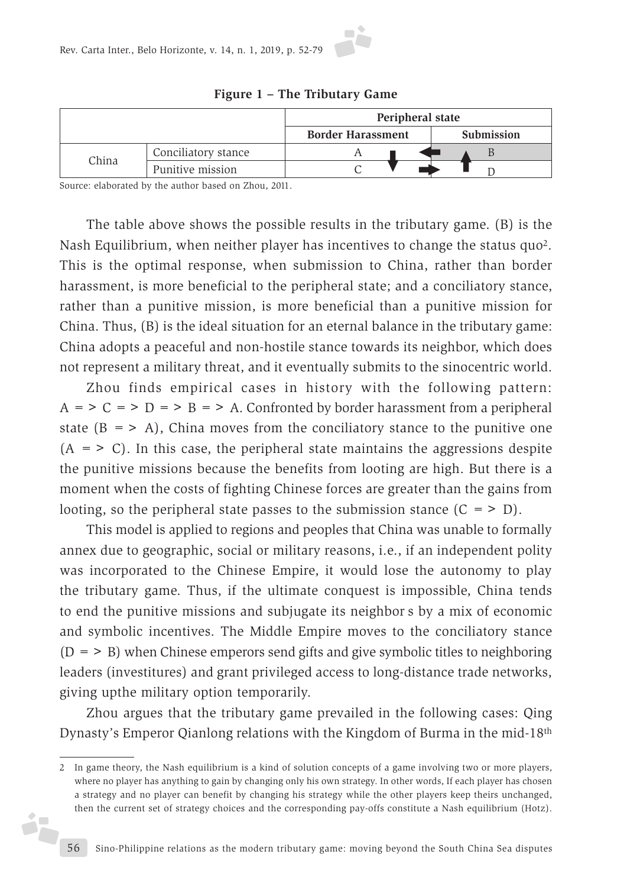

Source: elaborated by the author based on Zhou, 2011.

j.

The table above shows the possible results in the tributary game. (B) is the Nash Equilibrium, when neither player has incentives to change the status quo2. This is the optimal response, when submission to China, rather than border harassment, is more beneficial to the peripheral state; and a conciliatory stance, rather than a punitive mission, is more beneficial than a punitive mission for China. Thus, (B) is the ideal situation for an eternal balance in the tributary game: China adopts a peaceful and non-hostile stance towards its neighbor, which does not represent a military threat, and it eventually submits to the sinocentric world.

Zhou finds empirical cases in history with the following pattern:  $A = > C = > D = > B = > A$ . Confronted by border harassment from a peripheral state  $(B = > A)$ , China moves from the conciliatory stance to the punitive one  $(A = > C)$ . In this case, the peripheral state maintains the aggressions despite the punitive missions because the benefits from looting are high. But there is a moment when the costs of fighting Chinese forces are greater than the gains from looting, so the peripheral state passes to the submission stance  $(C = > D)$ .

This model is applied to regions and peoples that China was unable to formally annex due to geographic, social or military reasons, i.e., if an independent polity was incorporated to the Chinese Empire, it would lose the autonomy to play the tributary game. Thus, if the ultimate conquest is impossible, China tends to end the punitive missions and subjugate its neighbor s by a mix of economic and symbolic incentives. The Middle Empire moves to the conciliatory stance  $(D = > B)$  when Chinese emperors send gifts and give symbolic titles to neighboring leaders (investitures) and grant privileged access to long-distance trade networks, giving upthe military option temporarily.

Zhou argues that the tributary game prevailed in the following cases: Qing Dynasty's Emperor Qianlong relations with the Kingdom of Burma in the mid-18th

<sup>2</sup> In game theory, the Nash equilibrium is a kind of solution concepts of a game involving two or more players, where no player has anything to gain by changing only his own strategy. In other words, If each player has chosen a strategy and no player can benefit by changing his strategy while the other players keep theirs unchanged, then the current set of strategy choices and the corresponding pay-offs constitute a Nash equilibrium (Hotz).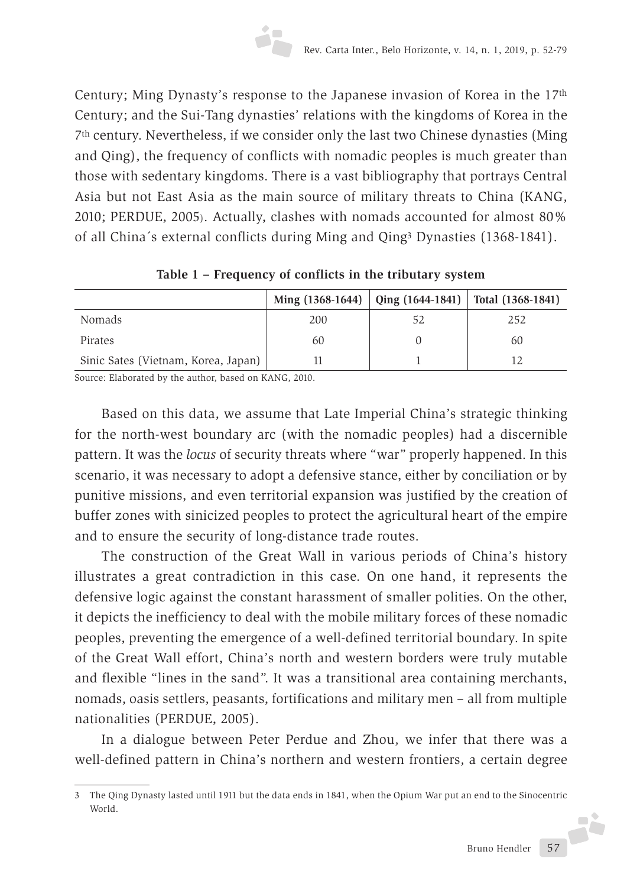Century; Ming Dynasty's response to the Japanese invasion of Korea in the 17th Century; and the Sui-Tang dynasties' relations with the kingdoms of Korea in the 7th century. Nevertheless, if we consider only the last two Chinese dynasties (Ming and Qing), the frequency of conflicts with nomadic peoples is much greater than those with sedentary kingdoms. There is a vast bibliography that portrays Central Asia but not East Asia as the main source of military threats to China (KANG, 2010; PERDUE, 2005). Actually, clashes with nomads accounted for almost 80% of all China´s external conflicts during Ming and Qing3 Dynasties (1368-1841).

|                                     | Ming $(1368-1644)$   Qing $(1644-1841)$   Total $(1368-1841)$ |    |     |
|-------------------------------------|---------------------------------------------------------------|----|-----|
| Nomads                              | 200                                                           | 52 | 252 |
| <b>Pirates</b>                      | 60                                                            |    | 60  |
| Sinic Sates (Vietnam, Korea, Japan) |                                                               |    |     |

**Table 1 – Frequency of conflicts in the tributary system**

Source: Elaborated by the author, based on KANG, 2010.

Based on this data, we assume that Late Imperial China's strategic thinking for the north-west boundary arc (with the nomadic peoples) had a discernible pattern. It was the *locus* of security threats where "war" properly happened. In this scenario, it was necessary to adopt a defensive stance, either by conciliation or by punitive missions, and even territorial expansion was justified by the creation of buffer zones with sinicized peoples to protect the agricultural heart of the empire and to ensure the security of long-distance trade routes.

The construction of the Great Wall in various periods of China's history illustrates a great contradiction in this case. On one hand, it represents the defensive logic against the constant harassment of smaller polities. On the other, it depicts the inefficiency to deal with the mobile military forces of these nomadic peoples, preventing the emergence of a well-defined territorial boundary. In spite of the Great Wall effort, China's north and western borders were truly mutable and flexible "lines in the sand". It was a transitional area containing merchants, nomads, oasis settlers, peasants, fortifications and military men – all from multiple nationalities (PERDUE, 2005).

In a dialogue between Peter Perdue and Zhou, we infer that there was a well-defined pattern in China's northern and western frontiers, a certain degree

<sup>3</sup> The Qing Dynasty lasted until 1911 but the data ends in 1841, when the Opium War put an end to the Sinocentric World.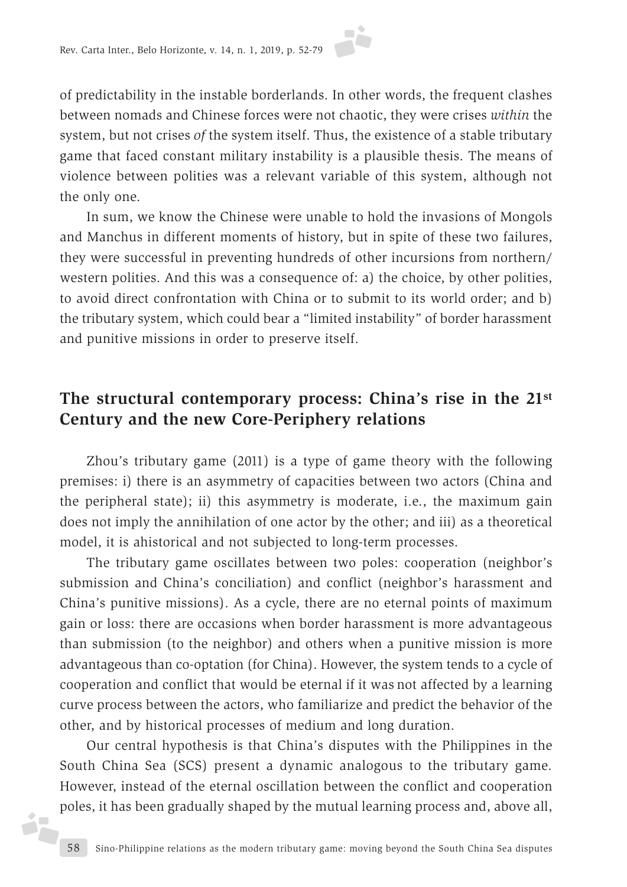

of predictability in the instable borderlands. In other words, the frequent clashes between nomads and Chinese forces were not chaotic, they were crises *within* the system, but not crises *of* the system itself. Thus, the existence of a stable tributary game that faced constant military instability is a plausible thesis. The means of violence between polities was a relevant variable of this system, although not the only one.

In sum, we know the Chinese were unable to hold the invasions of Mongols and Manchus in different moments of history, but in spite of these two failures, they were successful in preventing hundreds of other incursions from northern/ western polities. And this was a consequence of: a) the choice, by other polities, to avoid direct confrontation with China or to submit to its world order; and b) the tributary system, which could bear a "limited instability" of border harassment and punitive missions in order to preserve itself.

## **The structural contemporary process: China's rise in the 21st Century and the new Core-Periphery relations**

Zhou's tributary game (2011) is a type of game theory with the following premises: i) there is an asymmetry of capacities between two actors (China and the peripheral state); ii) this asymmetry is moderate, i.e., the maximum gain does not imply the annihilation of one actor by the other; and iii) as a theoretical model, it is ahistorical and not subjected to long-term processes.

The tributary game oscillates between two poles: cooperation (neighbor's submission and China's conciliation) and conflict (neighbor's harassment and China's punitive missions). As a cycle, there are no eternal points of maximum gain or loss: there are occasions when border harassment is more advantageous than submission (to the neighbor) and others when a punitive mission is more advantageous than co-optation (for China). However, the system tends to a cycle of cooperation and conflict that would be eternal if it was not affected by a learning curve process between the actors, who familiarize and predict the behavior of the other, and by historical processes of medium and long duration.

Our central hypothesis is that China's disputes with the Philippines in the South China Sea (SCS) present a dynamic analogous to the tributary game. However, instead of the eternal oscillation between the conflict and cooperation poles, it has been gradually shaped by the mutual learning process and, above all,

j.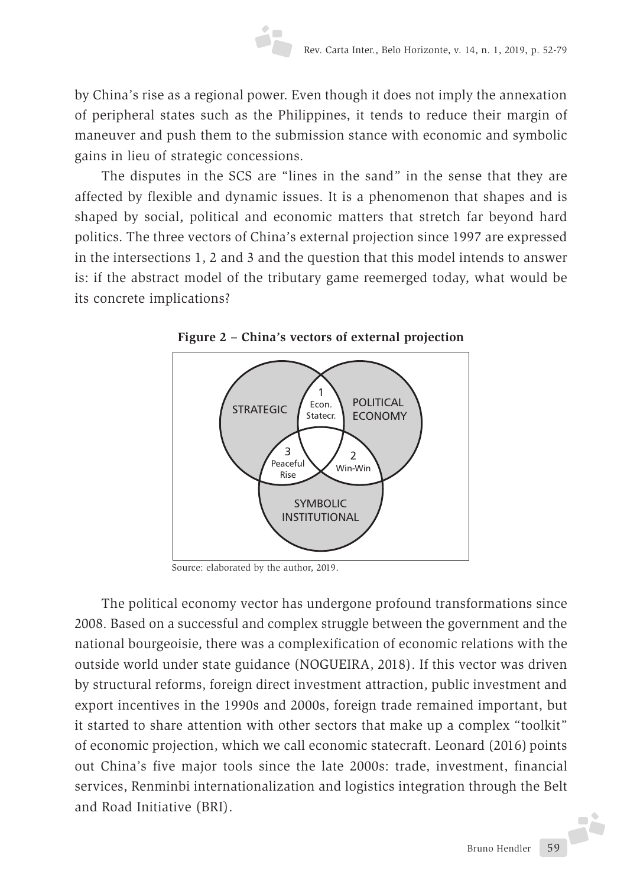by China's rise as a regional power. Even though it does not imply the annexation of peripheral states such as the Philippines, it tends to reduce their margin of maneuver and push them to the submission stance with economic and symbolic gains in lieu of strategic concessions.

The disputes in the SCS are "lines in the sand" in the sense that they are affected by flexible and dynamic issues. It is a phenomenon that shapes and is shaped by social, political and economic matters that stretch far beyond hard politics. The three vectors of China's external projection since 1997 are expressed in the intersections 1, 2 and 3 and the question that this model intends to answer is: if the abstract model of the tributary game reemerged today, what would be its concrete implications?



**Figure 2 – China's vectors of external projection**

Source: elaborated by the author, 2019.

The political economy vector has undergone profound transformations since 2008. Based on a successful and complex struggle between the government and the national bourgeoisie, there was a complexification of economic relations with the outside world under state guidance (NOGUEIRA, 2018). If this vector was driven by structural reforms, foreign direct investment attraction, public investment and export incentives in the 1990s and 2000s, foreign trade remained important, but it started to share attention with other sectors that make up a complex "toolkit" of economic projection, which we call economic statecraft. Leonard (2016) points out China's five major tools since the late 2000s: trade, investment, financial services, Renminbi internationalization and logistics integration through the Belt and Road Initiative (BRI).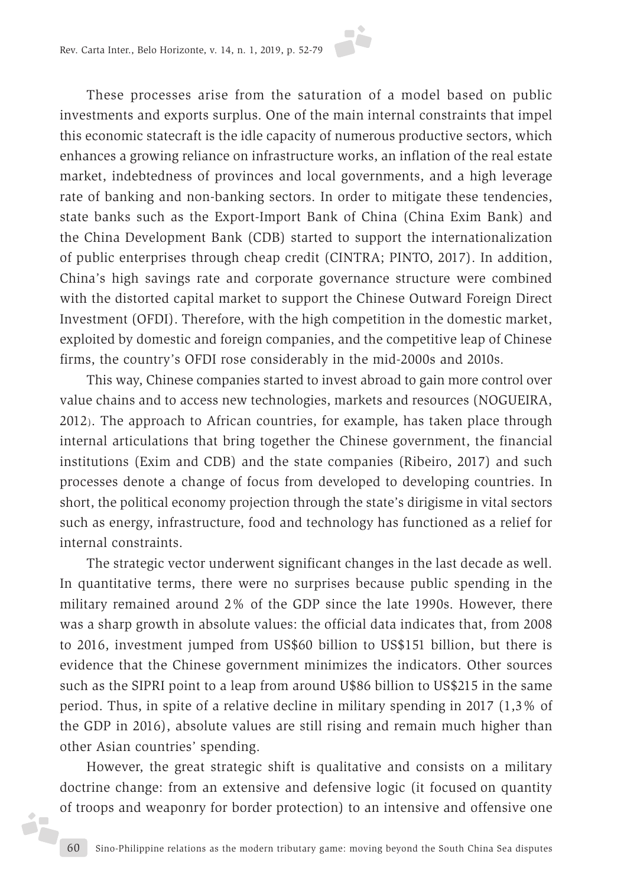

These processes arise from the saturation of a model based on public investments and exports surplus. One of the main internal constraints that impel this economic statecraft is the idle capacity of numerous productive sectors, which enhances a growing reliance on infrastructure works, an inflation of the real estate market, indebtedness of provinces and local governments, and a high leverage rate of banking and non-banking sectors. In order to mitigate these tendencies, state banks such as the Export-Import Bank of China (China Exim Bank) and the China Development Bank (CDB) started to support the internationalization of public enterprises through cheap credit (CINTRA; PINTO, 2017). In addition, China's high savings rate and corporate governance structure were combined with the distorted capital market to support the Chinese Outward Foreign Direct Investment (OFDI). Therefore, with the high competition in the domestic market, exploited by domestic and foreign companies, and the competitive leap of Chinese firms, the country's OFDI rose considerably in the mid-2000s and 2010s.

This way, Chinese companies started to invest abroad to gain more control over value chains and to access new technologies, markets and resources (NOGUEIRA, 2012). The approach to African countries, for example, has taken place through internal articulations that bring together the Chinese government, the financial institutions (Exim and CDB) and the state companies (Ribeiro, 2017) and such processes denote a change of focus from developed to developing countries. In short, the political economy projection through the state's dirigisme in vital sectors such as energy, infrastructure, food and technology has functioned as a relief for internal constraints.

The strategic vector underwent significant changes in the last decade as well. In quantitative terms, there were no surprises because public spending in the military remained around 2% of the GDP since the late 1990s. However, there was a sharp growth in absolute values: the official data indicates that, from 2008 to 2016, investment jumped from US\$60 billion to US\$151 billion, but there is evidence that the Chinese government minimizes the indicators. Other sources such as the SIPRI point to a leap from around U\$86 billion to US\$215 in the same period. Thus, in spite of a relative decline in military spending in 2017 (1,3% of the GDP in 2016), absolute values are still rising and remain much higher than other Asian countries' spending.

However, the great strategic shift is qualitative and consists on a military doctrine change: from an extensive and defensive logic (it focused on quantity of troops and weaponry for border protection) to an intensive and offensive one

i,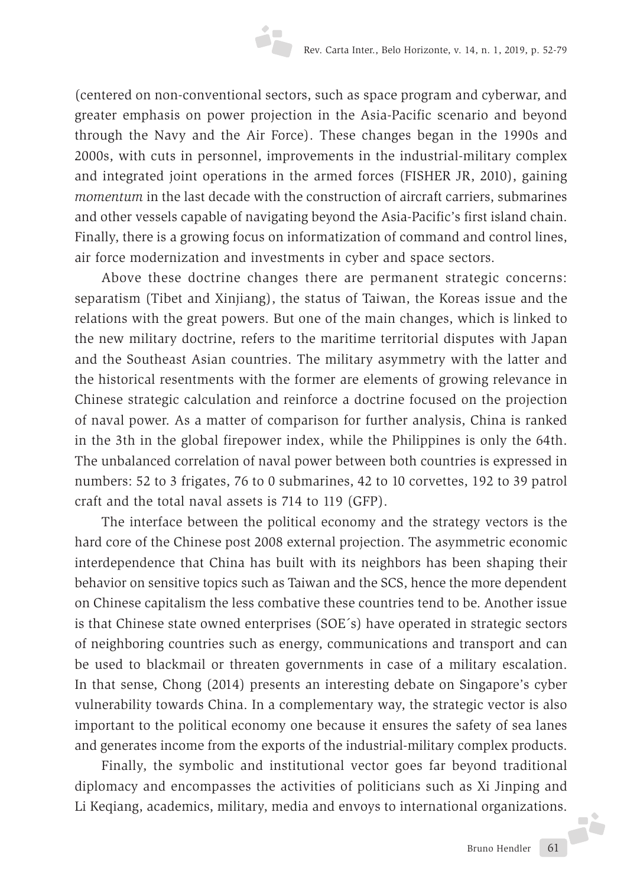(centered on non-conventional sectors, such as space program and cyberwar, and greater emphasis on power projection in the Asia-Pacific scenario and beyond through the Navy and the Air Force). These changes began in the 1990s and 2000s, with cuts in personnel, improvements in the industrial-military complex and integrated joint operations in the armed forces (FISHER JR, 2010), gaining *momentum* in the last decade with the construction of aircraft carriers, submarines and other vessels capable of navigating beyond the Asia-Pacific's first island chain. Finally, there is a growing focus on informatization of command and control lines, air force modernization and investments in cyber and space sectors.

Above these doctrine changes there are permanent strategic concerns: separatism (Tibet and Xinjiang), the status of Taiwan, the Koreas issue and the relations with the great powers. But one of the main changes, which is linked to the new military doctrine, refers to the maritime territorial disputes with Japan and the Southeast Asian countries. The military asymmetry with the latter and the historical resentments with the former are elements of growing relevance in Chinese strategic calculation and reinforce a doctrine focused on the projection of naval power. As a matter of comparison for further analysis, China is ranked in the 3th in the global firepower index, while the Philippines is only the 64th. The unbalanced correlation of naval power between both countries is expressed in numbers: 52 to 3 frigates, 76 to 0 submarines, 42 to 10 corvettes, 192 to 39 patrol craft and the total naval assets is 714 to 119 (GFP).

The interface between the political economy and the strategy vectors is the hard core of the Chinese post 2008 external projection. The asymmetric economic interdependence that China has built with its neighbors has been shaping their behavior on sensitive topics such as Taiwan and the SCS, hence the more dependent on Chinese capitalism the less combative these countries tend to be. Another issue is that Chinese state owned enterprises (SOE´s) have operated in strategic sectors of neighboring countries such as energy, communications and transport and can be used to blackmail or threaten governments in case of a military escalation. In that sense, Chong (2014) presents an interesting debate on Singapore's cyber vulnerability towards China. In a complementary way, the strategic vector is also important to the political economy one because it ensures the safety of sea lanes and generates income from the exports of the industrial-military complex products.

Finally, the symbolic and institutional vector goes far beyond traditional diplomacy and encompasses the activities of politicians such as Xi Jinping and Li Keqiang, academics, military, media and envoys to international organizations.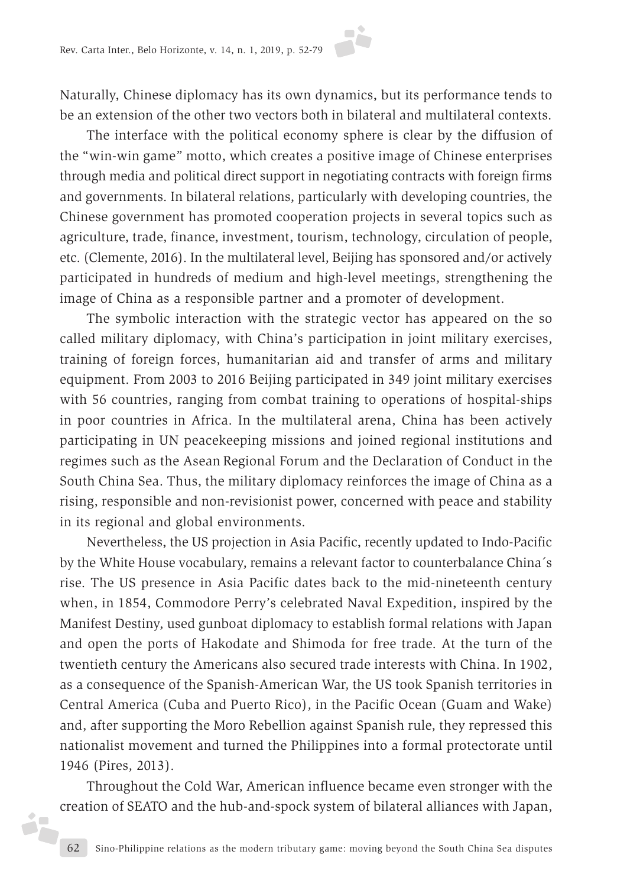Naturally, Chinese diplomacy has its own dynamics, but its performance tends to be an extension of the other two vectors both in bilateral and multilateral contexts.

The interface with the political economy sphere is clear by the diffusion of the "win-win game" motto, which creates a positive image of Chinese enterprises through media and political direct support in negotiating contracts with foreign firms and governments. In bilateral relations, particularly with developing countries, the Chinese government has promoted cooperation projects in several topics such as agriculture, trade, finance, investment, tourism, technology, circulation of people, etc. (Clemente, 2016). In the multilateral level, Beijing has sponsored and/or actively participated in hundreds of medium and high-level meetings, strengthening the image of China as a responsible partner and a promoter of development.

The symbolic interaction with the strategic vector has appeared on the so called military diplomacy, with China's participation in joint military exercises, training of foreign forces, humanitarian aid and transfer of arms and military equipment. From 2003 to 2016 Beijing participated in 349 joint military exercises with 56 countries, ranging from combat training to operations of hospital-ships in poor countries in Africa. In the multilateral arena, China has been actively participating in UN peacekeeping missions and joined regional institutions and regimes such as the Asean Regional Forum and the Declaration of Conduct in the South China Sea. Thus, the military diplomacy reinforces the image of China as a rising, responsible and non-revisionist power, concerned with peace and stability in its regional and global environments.

Nevertheless, the US projection in Asia Pacific, recently updated to Indo-Pacific by the White House vocabulary, remains a relevant factor to counterbalance China´s rise. The US presence in Asia Pacific dates back to the mid-nineteenth century when, in 1854, Commodore Perry's celebrated Naval Expedition, inspired by the Manifest Destiny, used gunboat diplomacy to establish formal relations with Japan and open the ports of Hakodate and Shimoda for free trade. At the turn of the twentieth century the Americans also secured trade interests with China. In 1902, as a consequence of the Spanish-American War, the US took Spanish territories in Central America (Cuba and Puerto Rico), in the Pacific Ocean (Guam and Wake) and, after supporting the Moro Rebellion against Spanish rule, they repressed this nationalist movement and turned the Philippines into a formal protectorate until 1946 (Pires, 2013).

Throughout the Cold War, American influence became even stronger with the creation of SEATO and the hub-and-spock system of bilateral alliances with Japan,

i<sub>r</sub>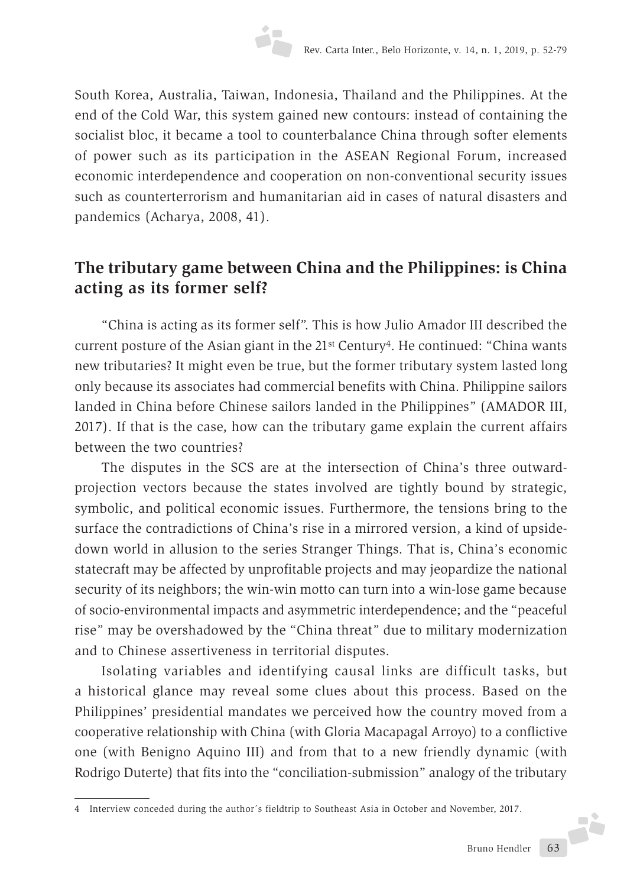South Korea, Australia, Taiwan, Indonesia, Thailand and the Philippines. At the end of the Cold War, this system gained new contours: instead of containing the socialist bloc, it became a tool to counterbalance China through softer elements of power such as its participation in the ASEAN Regional Forum, increased economic interdependence and cooperation on non-conventional security issues such as counterterrorism and humanitarian aid in cases of natural disasters and pandemics (Acharya, 2008, 41).

# **The tributary game between China and the Philippines: is China acting as its former self?**

"China is acting as its former self". This is how Julio Amador III described the current posture of the Asian giant in the  $21<sup>st</sup>$  Century<sup>4</sup>. He continued: "China wants new tributaries? It might even be true, but the former tributary system lasted long only because its associates had commercial benefits with China. Philippine sailors landed in China before Chinese sailors landed in the Philippines" (AMADOR III, 2017). If that is the case, how can the tributary game explain the current affairs between the two countries?

The disputes in the SCS are at the intersection of China's three outwardprojection vectors because the states involved are tightly bound by strategic, symbolic, and political economic issues. Furthermore, the tensions bring to the surface the contradictions of China's rise in a mirrored version, a kind of upsidedown world in allusion to the series Stranger Things. That is, China's economic statecraft may be affected by unprofitable projects and may jeopardize the national security of its neighbors; the win-win motto can turn into a win-lose game because of socio-environmental impacts and asymmetric interdependence; and the "peaceful rise" may be overshadowed by the "China threat" due to military modernization and to Chinese assertiveness in territorial disputes.

Isolating variables and identifying causal links are difficult tasks, but a historical glance may reveal some clues about this process. Based on the Philippines' presidential mandates we perceived how the country moved from a cooperative relationship with China (with Gloria Macapagal Arroyo) to a conflictive one (with Benigno Aquino III) and from that to a new friendly dynamic (with Rodrigo Duterte) that fits into the "conciliation-submission" analogy of the tributary

<sup>4</sup> Interview conceded during the author´s fieldtrip to Southeast Asia in October and November, 2017.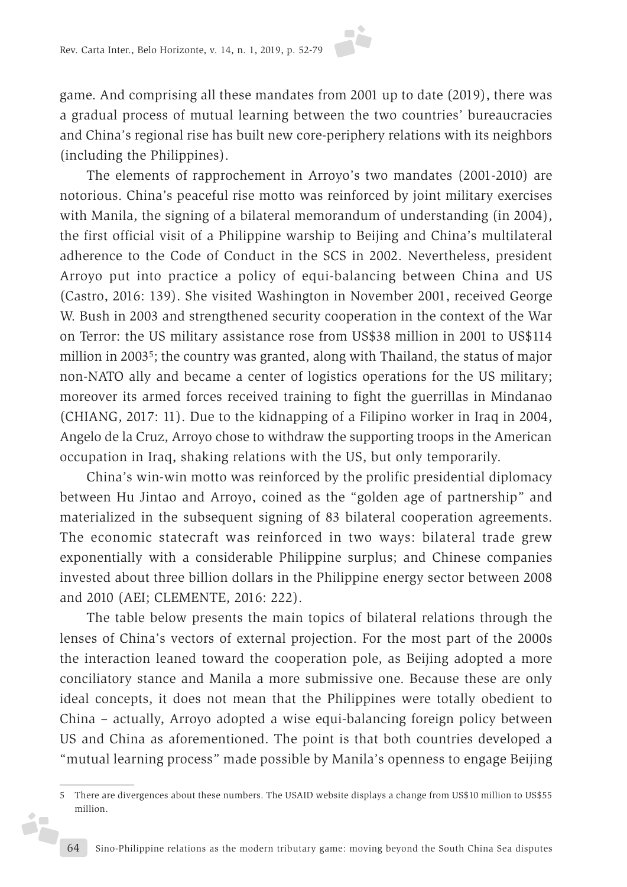

game. And comprising all these mandates from 2001 up to date (2019), there was a gradual process of mutual learning between the two countries' bureaucracies and China's regional rise has built new core-periphery relations with its neighbors (including the Philippines).

The elements of rapprochement in Arroyo's two mandates (2001-2010) are notorious. China's peaceful rise motto was reinforced by joint military exercises with Manila, the signing of a bilateral memorandum of understanding (in 2004), the first official visit of a Philippine warship to Beijing and China's multilateral adherence to the Code of Conduct in the SCS in 2002. Nevertheless, president Arroyo put into practice a policy of equi-balancing between China and US (Castro, 2016: 139). She visited Washington in November 2001, received George W. Bush in 2003 and strengthened security cooperation in the context of the War on Terror: the US military assistance rose from US\$38 million in 2001 to US\$114 million in 20035; the country was granted, along with Thailand, the status of major non-NATO ally and became a center of logistics operations for the US military; moreover its armed forces received training to fight the guerrillas in Mindanao (CHIANG, 2017: 11). Due to the kidnapping of a Filipino worker in Iraq in 2004, Angelo de la Cruz, Arroyo chose to withdraw the supporting troops in the American occupation in Iraq, shaking relations with the US, but only temporarily.

China's win-win motto was reinforced by the prolific presidential diplomacy between Hu Jintao and Arroyo, coined as the "golden age of partnership" and materialized in the subsequent signing of 83 bilateral cooperation agreements. The economic statecraft was reinforced in two ways: bilateral trade grew exponentially with a considerable Philippine surplus; and Chinese companies invested about three billion dollars in the Philippine energy sector between 2008 and 2010 (AEI; CLEMENTE, 2016: 222).

The table below presents the main topics of bilateral relations through the lenses of China's vectors of external projection. For the most part of the 2000s the interaction leaned toward the cooperation pole, as Beijing adopted a more conciliatory stance and Manila a more submissive one. Because these are only ideal concepts, it does not mean that the Philippines were totally obedient to China – actually, Arroyo adopted a wise equi-balancing foreign policy between US and China as aforementioned. The point is that both countries developed a "mutual learning process" made possible by Manila's openness to engage Beijing

j.

<sup>5</sup> There are divergences about these numbers. The USAID website displays a change from US\$10 million to US\$55 million.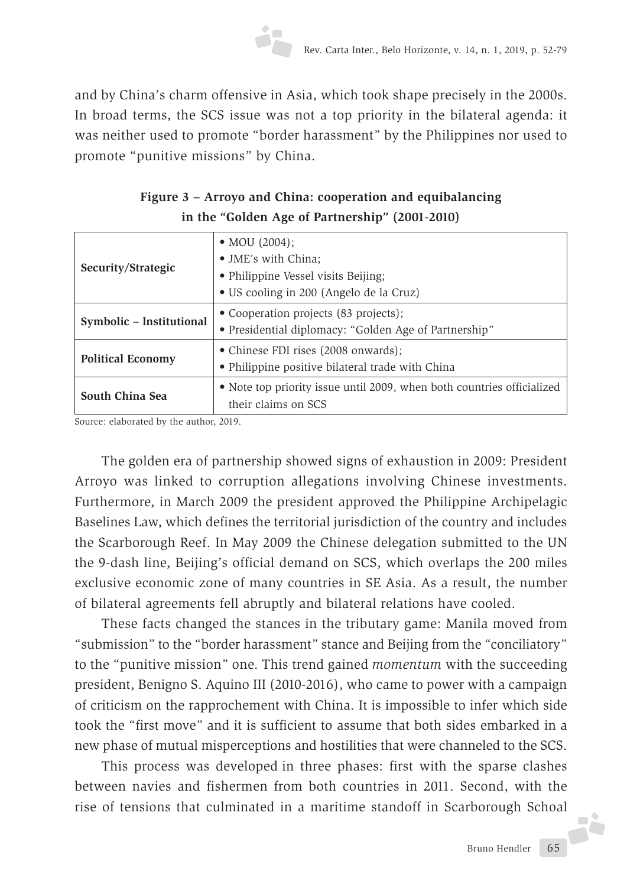and by China's charm offensive in Asia, which took shape precisely in the 2000s. In broad terms, the SCS issue was not a top priority in the bilateral agenda: it was neither used to promote "border harassment" by the Philippines nor used to promote "punitive missions" by China.

| Figure 3 – Arroyo and China: cooperation and equibalancing |
|------------------------------------------------------------|
| in the "Golden Age of Partnership" (2001-2010)             |

|                          | • MOU $(2004)$ ;                                                       |  |  |  |
|--------------------------|------------------------------------------------------------------------|--|--|--|
| Security/Strategic       | • JME's with China;                                                    |  |  |  |
|                          | • Philippine Vessel visits Beijing;                                    |  |  |  |
|                          | • US cooling in 200 (Angelo de la Cruz)                                |  |  |  |
|                          | • Cooperation projects (83 projects);                                  |  |  |  |
| Symbolic - Institutional | • Presidential diplomacy: "Golden Age of Partnership"                  |  |  |  |
|                          | • Chinese FDI rises (2008 onwards);                                    |  |  |  |
| <b>Political Economy</b> | • Philippine positive bilateral trade with China                       |  |  |  |
|                          | • Note top priority issue until 2009, when both countries officialized |  |  |  |
| South China Sea          | their claims on SCS                                                    |  |  |  |

Source: elaborated by the author, 2019.

The golden era of partnership showed signs of exhaustion in 2009: President Arroyo was linked to corruption allegations involving Chinese investments. Furthermore, in March 2009 the president approved the Philippine Archipelagic Baselines Law, which defines the territorial jurisdiction of the country and includes the Scarborough Reef. In May 2009 the Chinese delegation submitted to the UN the 9-dash line, Beijing's official demand on SCS, which overlaps the 200 miles exclusive economic zone of many countries in SE Asia. As a result, the number of bilateral agreements fell abruptly and bilateral relations have cooled.

These facts changed the stances in the tributary game: Manila moved from "submission" to the "border harassment" stance and Beijing from the "conciliatory" to the "punitive mission" one. This trend gained *momentum* with the succeeding president, Benigno S. Aquino III (2010-2016), who came to power with a campaign of criticism on the rapprochement with China. It is impossible to infer which side took the "first move" and it is sufficient to assume that both sides embarked in a new phase of mutual misperceptions and hostilities that were channeled to the SCS.

This process was developed in three phases: first with the sparse clashes between navies and fishermen from both countries in 2011. Second, with the rise of tensions that culminated in a maritime standoff in Scarborough Schoal **-3**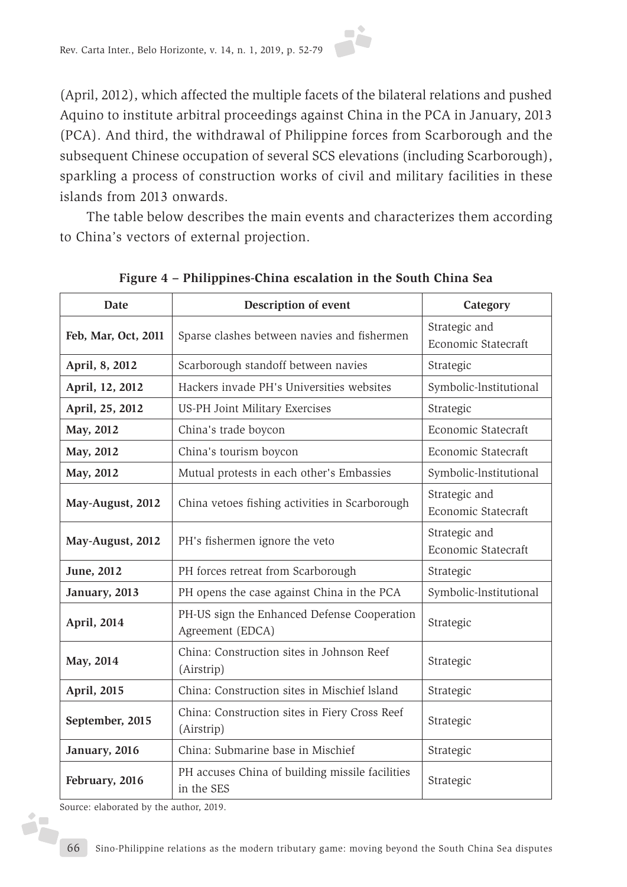(April, 2012), which affected the multiple facets of the bilateral relations and pushed Aquino to institute arbitral proceedings against China in the PCA in January, 2013 (PCA). And third, the withdrawal of Philippine forces from Scarborough and the subsequent Chinese occupation of several SCS elevations (including Scarborough), sparkling a process of construction works of civil and military facilities in these islands from 2013 onwards.

The table below describes the main events and characterizes them according to China's vectors of external projection.

| <b>Date</b>         | Description of event                                                     | Category                             |  |
|---------------------|--------------------------------------------------------------------------|--------------------------------------|--|
| Feb, Mar, Oct, 2011 | Sparse clashes between navies and fishermen                              | Strategic and<br>Economic Statecraft |  |
| April, 8, 2012      | Scarborough standoff between navies                                      | Strategic                            |  |
| April, 12, 2012     | Hackers invade PH's Universities websites                                | Symbolic-lnstitutional               |  |
| April, 25, 2012     | US-PH Joint Military Exercises                                           | Strategic                            |  |
| May, 2012           | China's trade boycon                                                     | Economic Statecraft                  |  |
| May, 2012           | China's tourism boycon                                                   | Economic Statecraft                  |  |
| May, 2012           | Mutual protests in each other's Embassies                                | Symbolic-Institutional               |  |
| May-August, 2012    | China vetoes fishing activities in Scarborough                           |                                      |  |
| May-August, 2012    | PH's fishermen ignore the veto                                           |                                      |  |
| June, 2012          | PH forces retreat from Scarborough                                       | Strategic                            |  |
| January, 2013       | PH opens the case against China in the PCA                               | Symbolic-lnstitutional               |  |
| April, 2014         | PH-US sign the Enhanced Defense Cooperation<br>Agreement (EDCA)          |                                      |  |
| May, 2014           | China: Construction sites in Johnson Reef<br>(Airstrip)                  | Strategic                            |  |
| April, 2015         | China: Construction sites in Mischief Island                             | Strategic                            |  |
| September, 2015     | China: Construction sites in Fiery Cross Reef<br>Strategic<br>(Airstrip) |                                      |  |
| January, 2016       | China: Submarine base in Mischief                                        | Strategic                            |  |
| February, 2016      | PH accuses China of building missile facilities<br>in the SES            |                                      |  |

**Figure 4 – Philippines-China escalation in the South China Sea**

Source: elaborated by the author, 2019.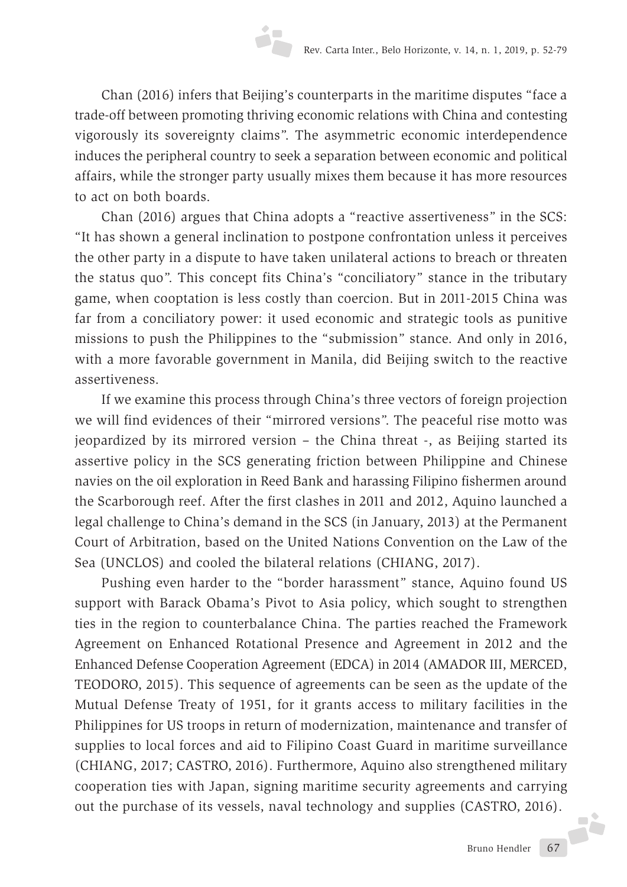Chan (2016) infers that Beijing's counterparts in the maritime disputes "face a trade-off between promoting thriving economic relations with China and contesting vigorously its sovereignty claims". The asymmetric economic interdependence induces the peripheral country to seek a separation between economic and political affairs, while the stronger party usually mixes them because it has more resources to act on both boards.

Chan (2016) argues that China adopts a "reactive assertiveness" in the SCS: "It has shown a general inclination to postpone confrontation unless it perceives the other party in a dispute to have taken unilateral actions to breach or threaten the status quo". This concept fits China's "conciliatory" stance in the tributary game, when cooptation is less costly than coercion. But in 2011-2015 China was far from a conciliatory power: it used economic and strategic tools as punitive missions to push the Philippines to the "submission" stance. And only in 2016, with a more favorable government in Manila, did Beijing switch to the reactive assertiveness.

If we examine this process through China's three vectors of foreign projection we will find evidences of their "mirrored versions". The peaceful rise motto was jeopardized by its mirrored version – the China threat -, as Beijing started its assertive policy in the SCS generating friction between Philippine and Chinese navies on the oil exploration in Reed Bank and harassing Filipino fishermen around the Scarborough reef. After the first clashes in 2011 and 2012, Aquino launched a legal challenge to China's demand in the SCS (in January, 2013) at the Permanent Court of Arbitration, based on the United Nations Convention on the Law of the Sea (UNCLOS) and cooled the bilateral relations (CHIANG, 2017).

Pushing even harder to the "border harassment" stance, Aquino found US support with Barack Obama's Pivot to Asia policy, which sought to strengthen ties in the region to counterbalance China. The parties reached the Framework Agreement on Enhanced Rotational Presence and Agreement in 2012 and the Enhanced Defense Cooperation Agreement (EDCA) in 2014 (AMADOR III, MERCED, TEODORO, 2015). This sequence of agreements can be seen as the update of the Mutual Defense Treaty of 1951, for it grants access to military facilities in the Philippines for US troops in return of modernization, maintenance and transfer of supplies to local forces and aid to Filipino Coast Guard in maritime surveillance (CHIANG, 2017; CASTRO, 2016). Furthermore, Aquino also strengthened military cooperation ties with Japan, signing maritime security agreements and carrying out the purchase of its vessels, naval technology and supplies (CASTRO, 2016).

Bruno Hendler 67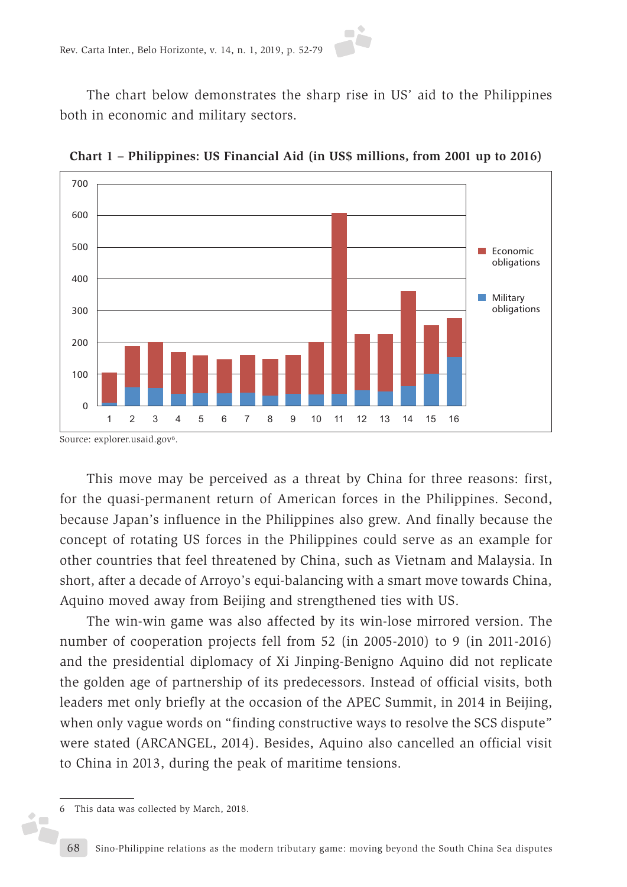The chart below demonstrates the sharp rise in US' aid to the Philippines both in economic and military sectors.



**Chart 1 – Philippines: US Financial Aid (in US\$ millions, from 2001 up to 2016)**

Source: explorer.usaid.gov<sup>6</sup>.

This move may be perceived as a threat by China for three reasons: first, for the quasi-permanent return of American forces in the Philippines. Second, because Japan's influence in the Philippines also grew. And finally because the concept of rotating US forces in the Philippines could serve as an example for other countries that feel threatened by China, such as Vietnam and Malaysia. In short, after a decade of Arroyo's equi-balancing with a smart move towards China, Aquino moved away from Beijing and strengthened ties with US.

The win-win game was also affected by its win-lose mirrored version. The number of cooperation projects fell from 52 (in 2005-2010) to 9 (in 2011-2016) and the presidential diplomacy of Xi Jinping-Benigno Aquino did not replicate the golden age of partnership of its predecessors. Instead of official visits, both leaders met only briefly at the occasion of the APEC Summit, in 2014 in Beijing, when only vague words on "finding constructive ways to resolve the SCS dispute" were stated (ARCANGEL, 2014). Besides, Aquino also cancelled an official visit to China in 2013, during the peak of maritime tensions.

i7

<sup>6</sup> This data was collected by March, 2018.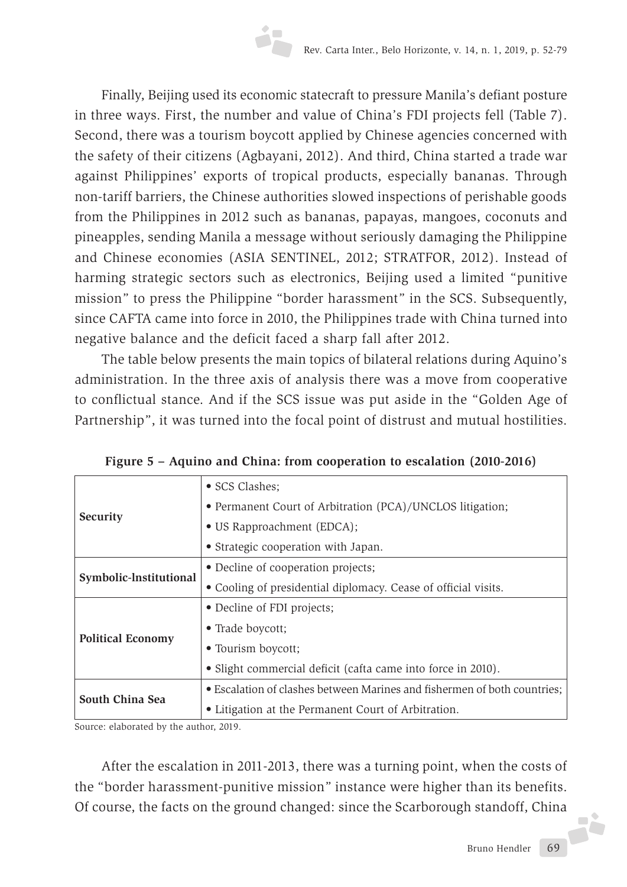Finally, Beijing used its economic statecraft to pressure Manila's defiant posture in three ways. First, the number and value of China's FDI projects fell (Table 7). Second, there was a tourism boycott applied by Chinese agencies concerned with the safety of their citizens (Agbayani, 2012). And third, China started a trade war against Philippines' exports of tropical products, especially bananas. Through non-tariff barriers, the Chinese authorities slowed inspections of perishable goods from the Philippines in 2012 such as bananas, papayas, mangoes, coconuts and pineapples, sending Manila a message without seriously damaging the Philippine and Chinese economies (ASIA SENTINEL, 2012; STRATFOR, 2012). Instead of harming strategic sectors such as electronics, Beijing used a limited "punitive mission" to press the Philippine "border harassment" in the SCS. Subsequently, since CAFTA came into force in 2010, the Philippines trade with China turned into negative balance and the deficit faced a sharp fall after 2012.

The table below presents the main topics of bilateral relations during Aquino's administration. In the three axis of analysis there was a move from cooperative to conflictual stance. And if the SCS issue was put aside in the "Golden Age of Partnership", it was turned into the focal point of distrust and mutual hostilities.

|                          | • SCS Clashes;                                                           |  |  |  |
|--------------------------|--------------------------------------------------------------------------|--|--|--|
| <b>Security</b>          | • Permanent Court of Arbitration (PCA)/UNCLOS litigation;                |  |  |  |
|                          | • US Rapproachment (EDCA);                                               |  |  |  |
|                          | • Strategic cooperation with Japan.                                      |  |  |  |
| Symbolic-Institutional   | • Decline of cooperation projects;                                       |  |  |  |
|                          | • Cooling of presidential diplomacy. Cease of official visits.           |  |  |  |
| <b>Political Economy</b> | • Decline of FDI projects;                                               |  |  |  |
|                          | • Trade boycott;                                                         |  |  |  |
|                          | • Tourism boycott;                                                       |  |  |  |
|                          | • Slight commercial deficit (cafta came into force in 2010).             |  |  |  |
| South China Sea          | • Escalation of clashes between Marines and fishermen of both countries; |  |  |  |
|                          | • Litigation at the Permanent Court of Arbitration.                      |  |  |  |

**Figure 5 – Aquino and China: from cooperation to escalation (2010-2016)**

Source: elaborated by the author, 2019.

After the escalation in 2011-2013, there was a turning point, when the costs of the "border harassment-punitive mission" instance were higher than its benefits. Of course, the facts on the ground changed: since the Scarborough standoff, China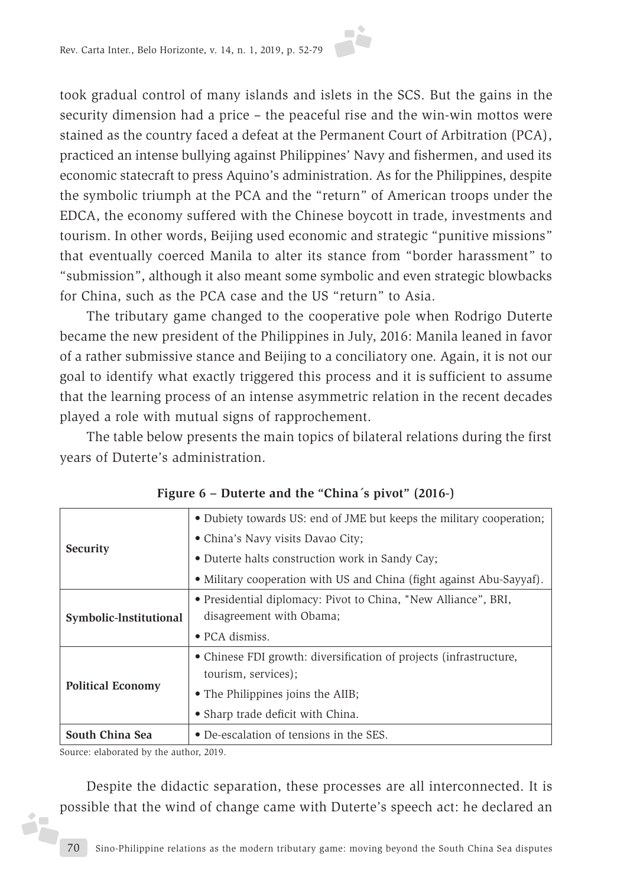took gradual control of many islands and islets in the SCS. But the gains in the security dimension had a price – the peaceful rise and the win-win mottos were stained as the country faced a defeat at the Permanent Court of Arbitration (PCA), practiced an intense bullying against Philippines' Navy and fishermen, and used its economic statecraft to press Aquino's administration. As for the Philippines, despite the symbolic triumph at the PCA and the "return" of American troops under the EDCA, the economy suffered with the Chinese boycott in trade, investments and tourism. In other words, Beijing used economic and strategic "punitive missions" that eventually coerced Manila to alter its stance from "border harassment" to "submission", although it also meant some symbolic and even strategic blowbacks for China, such as the PCA case and the US "return" to Asia.

The tributary game changed to the cooperative pole when Rodrigo Duterte became the new president of the Philippines in July, 2016: Manila leaned in favor of a rather submissive stance and Beijing to a conciliatory one. Again, it is not our goal to identify what exactly triggered this process and it is sufficient to assume that the learning process of an intense asymmetric relation in the recent decades played a role with mutual signs of rapprochement.

The table below presents the main topics of bilateral relations during the first years of Duterte's administration.

|                          | • Dubiety towards US: end of JME but keeps the military cooperation; |  |  |  |
|--------------------------|----------------------------------------------------------------------|--|--|--|
| <b>Security</b>          |                                                                      |  |  |  |
|                          | • China's Navy visits Davao City;                                    |  |  |  |
|                          | • Duterte halts construction work in Sandy Cay;                      |  |  |  |
|                          | • Military cooperation with US and China (fight against Abu-Sayyaf). |  |  |  |
| Symbolic-Institutional   | • Presidential diplomacy: Pivot to China, "New Alliance", BRI,       |  |  |  |
|                          | disagreement with Obama;                                             |  |  |  |
|                          | $\bullet$ PCA dismiss.                                               |  |  |  |
|                          | • Chinese FDI growth: diversification of projects (infrastructure,   |  |  |  |
| <b>Political Economy</b> | tourism, services);                                                  |  |  |  |
|                          | • The Philippines joins the AIIB;                                    |  |  |  |
|                          | • Sharp trade deficit with China.                                    |  |  |  |
| South China Sea          | • De-escalation of tensions in the SES.                              |  |  |  |

**Figure 6 – Duterte and the "China´s pivot" (2016-)**

Source: elaborated by the author, 2019.

iz.

Despite the didactic separation, these processes are all interconnected. It is possible that the wind of change came with Duterte's speech act: he declared an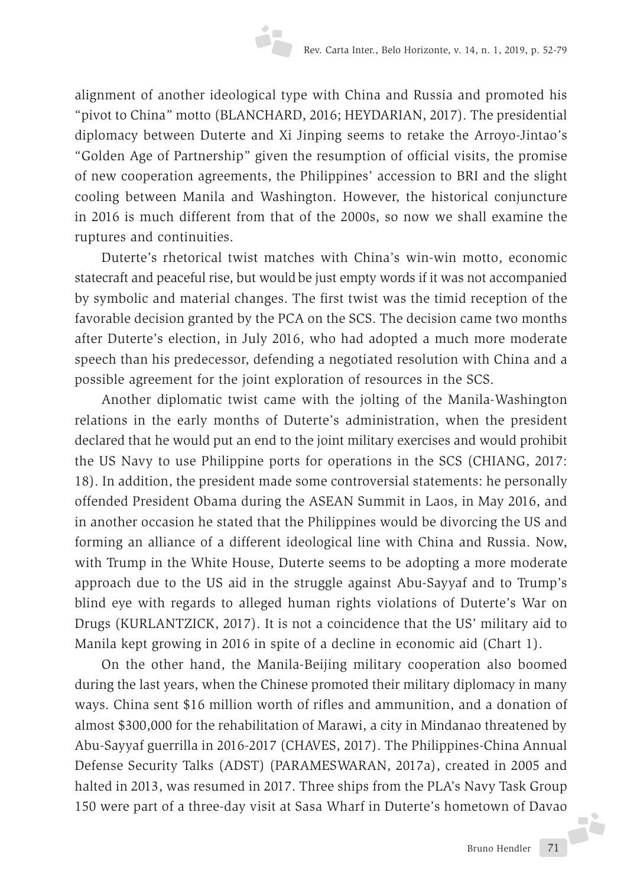alignment of another ideological type with China and Russia and promoted his "pivot to China" motto (BLANCHARD, 2016; HEYDARIAN, 2017). The presidential diplomacy between Duterte and Xi Jinping seems to retake the Arroyo-Jintao's "Golden Age of Partnership" given the resumption of official visits, the promise of new cooperation agreements, the Philippines' accession to BRI and the slight cooling between Manila and Washington. However, the historical conjuncture in 2016 is much different from that of the 2000s, so now we shall examine the ruptures and continuities.

Duterte's rhetorical twist matches with China's win-win motto, economic statecraft and peaceful rise, but would be just empty words if it was not accompanied by symbolic and material changes. The first twist was the timid reception of the favorable decision granted by the PCA on the SCS. The decision came two months after Duterte's election, in July 2016, who had adopted a much more moderate speech than his predecessor, defending a negotiated resolution with China and a possible agreement for the joint exploration of resources in the SCS.

Another diplomatic twist came with the jolting of the Manila-Washington relations in the early months of Duterte's administration, when the president declared that he would put an end to the joint military exercises and would prohibit the US Navy to use Philippine ports for operations in the SCS (CHIANG, 2017: 18). In addition, the president made some controversial statements: he personally offended President Obama during the ASEAN Summit in Laos, in May 2016, and in another occasion he stated that the Philippines would be divorcing the US and forming an alliance of a different ideological line with China and Russia. Now, with Trump in the White House, Duterte seems to be adopting a more moderate approach due to the US aid in the struggle against Abu-Sayyaf and to Trump's blind eye with regards to alleged human rights violations of Duterte's War on Drugs (KURLANTZICK, 2017). It is not a coincidence that the US' military aid to Manila kept growing in 2016 in spite of a decline in economic aid (Chart 1).

On the other hand, the Manila-Beijing military cooperation also boomed during the last years, when the Chinese promoted their military diplomacy in many ways. China sent \$16 million worth of rifles and ammunition, and a donation of almost \$300,000 for the rehabilitation of Marawi, a city in Mindanao threatened by Abu-Sayyaf guerrilla in 2016-2017 (CHAVES, 2017). The Philippines-China Annual Defense Security Talks (ADST) (PARAMESWARAN, 2017a), created in 2005 and halted in 2013, was resumed in 2017. Three ships from the PLA's Navy Task Group 150 were part of a three-day visit at Sasa Wharf in Duterte's hometown of Davao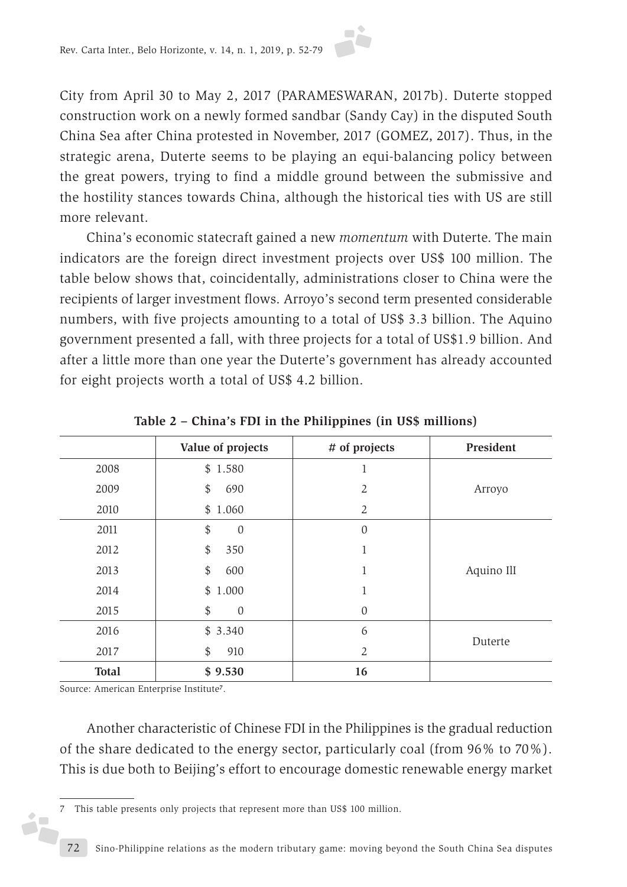

City from April 30 to May 2, 2017 (PARAMESWARAN, 2017b). Duterte stopped construction work on a newly formed sandbar (Sandy Cay) in the disputed South China Sea after China protested in November, 2017 (GOMEZ, 2017). Thus, in the strategic arena, Duterte seems to be playing an equi-balancing policy between the great powers, trying to find a middle ground between the submissive and the hostility stances towards China, although the historical ties with US are still more relevant.

China's economic statecraft gained a new *momentum* with Duterte. The main indicators are the foreign direct investment projects over US\$ 100 million. The table below shows that, coincidentally, administrations closer to China were the recipients of larger investment flows. Arroyo's second term presented considerable numbers, with five projects amounting to a total of US\$ 3.3 billion. The Aquino government presented a fall, with three projects for a total of US\$1.9 billion. And after a little more than one year the Duterte's government has already accounted for eight projects worth a total of US\$ 4.2 billion.

|              | Value of projects      | # of projects    | President  |
|--------------|------------------------|------------------|------------|
| 2008         | \$1.580                |                  |            |
| 2009         | \$<br>690              | $\overline{2}$   | Arroyo     |
| 2010         | \$1.060                | $\overline{2}$   |            |
| 2011         | \$<br>$\mathbf{0}$     | $\boldsymbol{0}$ |            |
| 2012         | \$<br>350              | 1                |            |
| 2013         | \$<br>600              | 1                | Aquino IlI |
| 2014         | $\frac{1}{2}$<br>1.000 | 1                |            |
| 2015         | \$<br>$\theta$         | 0                |            |
| 2016         | \$3.340                | 6                |            |
| 2017         | \$<br>910              | 2                | Duterte    |
| <b>Total</b> | \$9.530                | 16               |            |

**Table 2 – China's FDI in the Philippines (in US\$ millions)**

Source: American Enterprise Institute**7**.

i.

Another characteristic of Chinese FDI in the Philippines is the gradual reduction of the share dedicated to the energy sector, particularly coal (from 96% to 70%). This is due both to Beijing's effort to encourage domestic renewable energy market

<sup>7</sup> This table presents only projects that represent more than US\$ 100 million.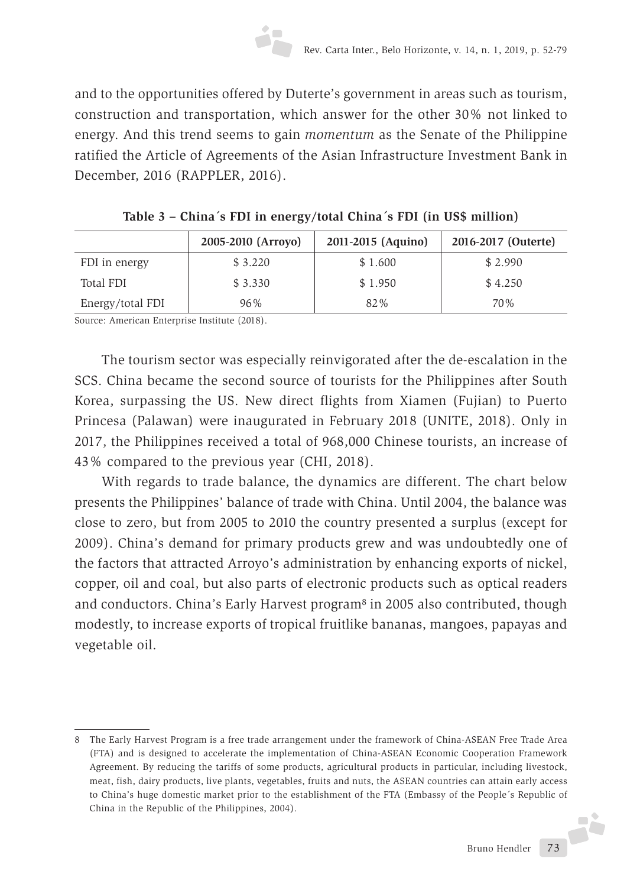and to the opportunities offered by Duterte's government in areas such as tourism, construction and transportation, which answer for the other 30% not linked to energy. And this trend seems to gain *momentum* as the Senate of the Philippine ratified the Article of Agreements of the Asian Infrastructure Investment Bank in December, 2016 (RAPPLER, 2016).

|                  | 2005-2010 (Arroyo) | 2011-2015 (Aquino) | 2016-2017 (Outerte) |
|------------------|--------------------|--------------------|---------------------|
| FDI in energy    | \$3.220            | \$1.600            | \$2.990             |
| Total FDI        | \$3.330            | \$1.950            | \$4.250             |
| Energy/total FDI | 96%                | 82%                | 70 <sup>%</sup>     |

|  | Table 3 - China's FDI in energy/total China's FDI (in US\$ million) |  |  |
|--|---------------------------------------------------------------------|--|--|
|  |                                                                     |  |  |

Source: American Enterprise Institute (2018).

The tourism sector was especially reinvigorated after the de-escalation in the SCS. China became the second source of tourists for the Philippines after South Korea, surpassing the US. New direct flights from Xiamen (Fujian) to Puerto Princesa (Palawan) were inaugurated in February 2018 (UNITE, 2018). Only in 2017, the Philippines received a total of 968,000 Chinese tourists, an increase of 43% compared to the previous year (CHI, 2018).

With regards to trade balance, the dynamics are different. The chart below presents the Philippines' balance of trade with China. Until 2004, the balance was close to zero, but from 2005 to 2010 the country presented a surplus (except for 2009). China's demand for primary products grew and was undoubtedly one of the factors that attracted Arroyo's administration by enhancing exports of nickel, copper, oil and coal, but also parts of electronic products such as optical readers and conductors. China's Early Harvest program8 in 2005 also contributed, though modestly, to increase exports of tropical fruitlike bananas, mangoes, papayas and vegetable oil.

<sup>8</sup> The Early Harvest Program is a free trade arrangement under the framework of China-ASEAN Free Trade Area (FTA) and is designed to accelerate the implementation of China-ASEAN Economic Cooperation Framework Agreement. By reducing the tariffs of some products, agricultural products in particular, including livestock, meat, fish, dairy products, live plants, vegetables, fruits and nuts, the ASEAN countries can attain early access to China's huge domestic market prior to the establishment of the FTA (Embassy of the People´s Republic of China in the Republic of the Philippines, 2004).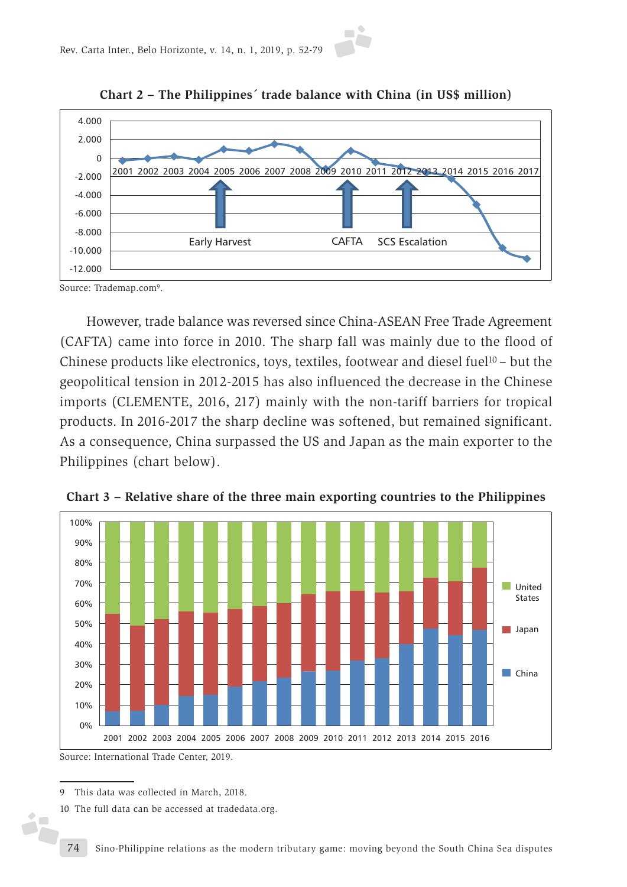

**Chart 2 – The Philippines´ trade balance with China (in US\$ million)**



Source: Trademap.com9.

However, trade balance was reversed since China-ASEAN Free Trade Agreement (CAFTA) came into force in 2010. The sharp fall was mainly due to the flood of Chinese products like electronics, toys, textiles, footwear and diesel fuel<sup>10</sup> – but the geopolitical tension in 2012-2015 has also influenced the decrease in the Chinese imports (CLEMENTE, 2016, 217) mainly with the non-tariff barriers for tropical products. In 2016-2017 the sharp decline was softened, but remained significant. As a consequence, China surpassed the US and Japan as the main exporter to the Philippines (chart below).



**Chart 3 – Relative share of the three main exporting countries to the Philippines**

Source: International Trade Center, 2019.

Ď,

<sup>9</sup> This data was collected in March, 2018.

<sup>10</sup> The full data can be accessed at tradedata.org.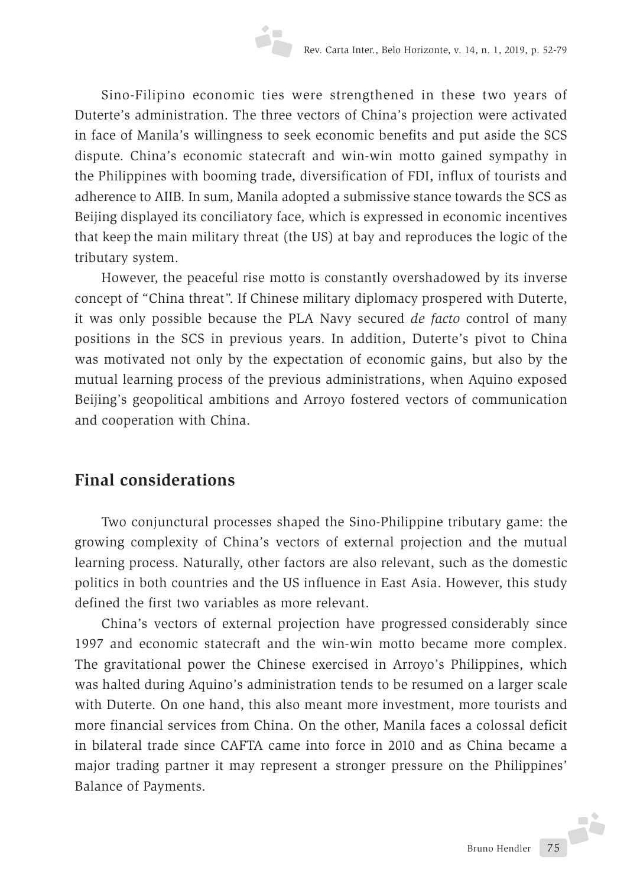Sino-Filipino economic ties were strengthened in these two years of Duterte's administration. The three vectors of China's projection were activated in face of Manila's willingness to seek economic benefits and put aside the SCS dispute. China's economic statecraft and win-win motto gained sympathy in the Philippines with booming trade, diversification of FDI, influx of tourists and adherence to AIIB. In sum, Manila adopted a submissive stance towards the SCS as Beijing displayed its conciliatory face, which is expressed in economic incentives that keep the main military threat (the US) at bay and reproduces the logic of the tributary system.

However, the peaceful rise motto is constantly overshadowed by its inverse concept of "China threat". If Chinese military diplomacy prospered with Duterte, it was only possible because the PLA Navy secured *de facto* control of many positions in the SCS in previous years. In addition, Duterte's pivot to China was motivated not only by the expectation of economic gains, but also by the mutual learning process of the previous administrations, when Aquino exposed Beijing's geopolitical ambitions and Arroyo fostered vectors of communication and cooperation with China.

# **Final considerations**

Two conjunctural processes shaped the Sino-Philippine tributary game: the growing complexity of China's vectors of external projection and the mutual learning process. Naturally, other factors are also relevant, such as the domestic politics in both countries and the US influence in East Asia. However, this study defined the first two variables as more relevant.

China's vectors of external projection have progressed considerably since 1997 and economic statecraft and the win-win motto became more complex. The gravitational power the Chinese exercised in Arroyo's Philippines, which was halted during Aquino's administration tends to be resumed on a larger scale with Duterte. On one hand, this also meant more investment, more tourists and more financial services from China. On the other, Manila faces a colossal deficit in bilateral trade since CAFTA came into force in 2010 and as China became a major trading partner it may represent a stronger pressure on the Philippines' Balance of Payments.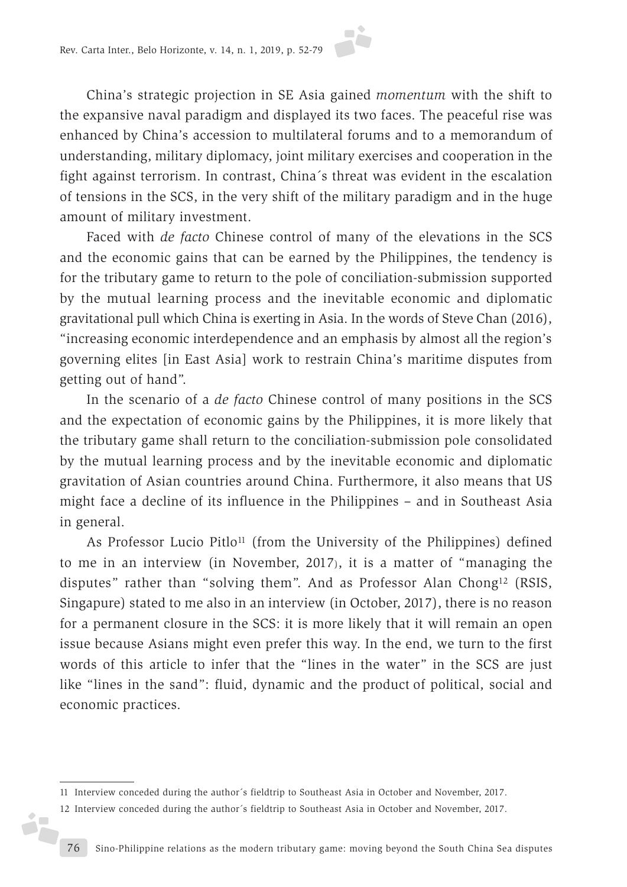

China's strategic projection in SE Asia gained *momentum* with the shift to the expansive naval paradigm and displayed its two faces. The peaceful rise was enhanced by China's accession to multilateral forums and to a memorandum of understanding, military diplomacy, joint military exercises and cooperation in the fight against terrorism. In contrast, China´s threat was evident in the escalation of tensions in the SCS, in the very shift of the military paradigm and in the huge amount of military investment.

Faced with *de facto* Chinese control of many of the elevations in the SCS and the economic gains that can be earned by the Philippines, the tendency is for the tributary game to return to the pole of conciliation-submission supported by the mutual learning process and the inevitable economic and diplomatic gravitational pull which China is exerting in Asia. In the words of Steve Chan (2016), "increasing economic interdependence and an emphasis by almost all the region's governing elites [in East Asia] work to restrain China's maritime disputes from getting out of hand".

In the scenario of a *de facto* Chinese control of many positions in the SCS and the expectation of economic gains by the Philippines, it is more likely that the tributary game shall return to the conciliation-submission pole consolidated by the mutual learning process and by the inevitable economic and diplomatic gravitation of Asian countries around China. Furthermore, it also means that US might face a decline of its influence in the Philippines – and in Southeast Asia in general.

As Professor Lucio Pitlo<sup>11</sup> (from the University of the Philippines) defined to me in an interview (in November, 2017), it is a matter of "managing the disputes" rather than "solving them". And as Professor Alan Chong12 (RSIS, Singapure) stated to me also in an interview (in October, 2017), there is no reason for a permanent closure in the SCS: it is more likely that it will remain an open issue because Asians might even prefer this way. In the end, we turn to the first words of this article to infer that the "lines in the water" in the SCS are just like "lines in the sand": fluid, dynamic and the product of political, social and economic practices.

ó,

<sup>11</sup> Interview conceded during the author´s fieldtrip to Southeast Asia in October and November, 2017.

<sup>12</sup> Interview conceded during the author´s fieldtrip to Southeast Asia in October and November, 2017.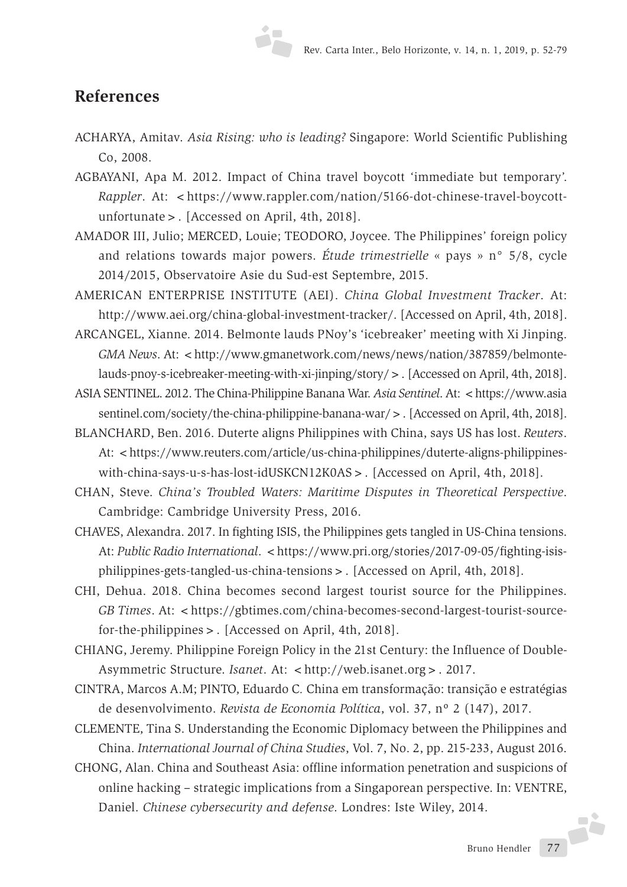#### **References**

- ACHARYA, Amitav. *Asia Rising: who is leading?* Singapore: World Scientific Publishing Co, 2008.
- AGBAYANI, Apa M. 2012. Impact of China travel boycott 'immediate but temporary'. *Rappler.* At: <https://www.rappler.com/nation/5166-dot-chinese-travel-boycottunfortunate>. [Accessed on April, 4th, 2018].
- AMADOR III, Julio; MERCED, Louie; TEODORO, Joycee. The Philippines' foreign policy and relations towards major powers. *Étude trimestrielle* « pays » n° 5/8, cycle 2014/2015, Observatoire Asie du Sud-est Septembre, 2015.
- AMERICAN ENTERPRISE INSTITUTE (AEI). *China Global Investment Tracker*. At: http://www.aei.org/china-global-investment-tracker/. [Accessed on April, 4th, 2018].
- ARCANGEL, Xianne. 2014. Belmonte lauds PNoy's 'icebreaker' meeting with Xi Jinping. *GMA News. At:* < http://www.gmanetwork.com/news/news/nation/387859/belmontelauds-pnoy-s-icebreaker-meeting-with-xi-jinping/story/>. [Accessed on April, 4th, 2018].
- ASIA SENTINEL. 2012. The China-Philippine Banana War. *Asia Sentinel*. At: <https://www.asia sentinel.com/society/the-china-philippine-banana-war/>. [Accessed on April, 4th, 2018].
- BLANCHARD, Ben. 2016. Duterte aligns Philippines with China, says US has lost. *Reuters*. At: <https://www.reuters.com/article/us-china-philippines/duterte-aligns-philippineswith-china-says-u-s-has-lost-idUSKCN12K0AS>. [Accessed on April, 4th, 2018].
- CHAN, Steve. *China's Troubled Waters: Maritime Disputes in Theoretical Perspective*. Cambridge: Cambridge University Press, 2016.
- CHAVES, Alexandra. 2017. In fighting ISIS, the Philippines gets tangled in US-China tensions. At: *Public Radio International.* < https://www.pri.org/stories/2017-09-05/fighting-isisphilippines-gets-tangled-us-china-tensions>. [Accessed on April, 4th, 2018].
- CHI, Dehua. 2018. China becomes second largest tourist source for the Philippines. *GB Times*. At: <https://gbtimes.com/china-becomes-second-largest-tourist-sourcefor-the-philippines>. [Accessed on April, 4th, 2018].
- CHIANG, Jeremy. Philippine Foreign Policy in the 21st Century: the Influence of Double-Asymmetric Structure. *Isanet*. At: <http://web.isanet.org > . 2017.
- CINTRA, Marcos A.M; PINTO, Eduardo C*.* China em transformação: transição e estratégias de desenvolvimento. *Revista de Economia Política*, vol. 37, nº 2 (147), 2017.
- CLEMENTE, Tina S. Understanding the Economic Diplomacy between the Philippines and China. *International Journal of China Studies*, Vol. 7, No. 2, pp. 215-233, August 2016.
- CHONG, Alan. China and Southeast Asia: offline information penetration and suspicions of online hacking – strategic implications from a Singaporean perspective. In: VENTRE, Daniel. *Chinese cybersecurity and defense*. Londres: Iste Wiley, 2014.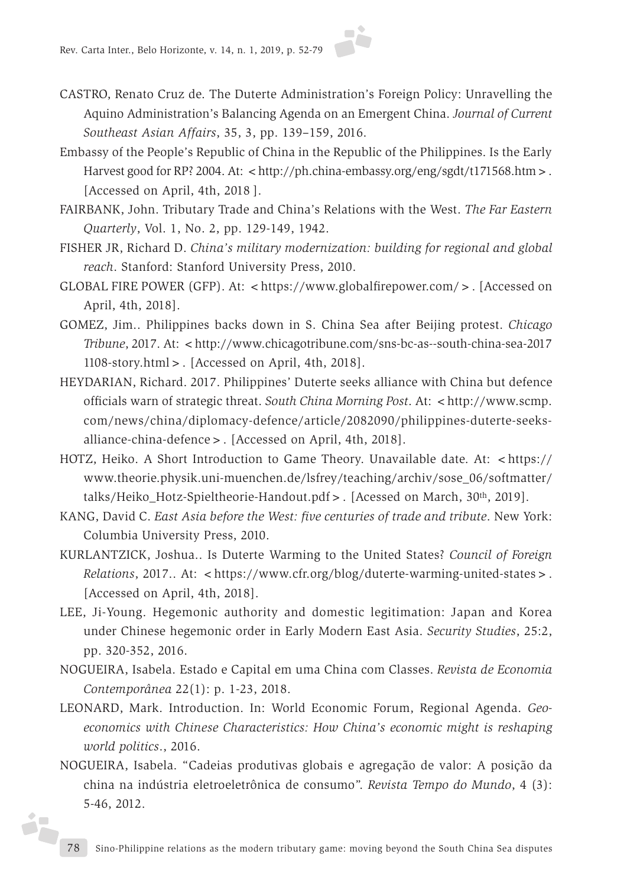- 
- CASTRO, Renato Cruz de. The Duterte Administration's Foreign Policy: Unravelling the Aquino Administration's Balancing Agenda on an Emergent China. *Journal of Current Southeast Asian Affairs*, 35, 3, pp. 139–159, 2016.
- Embassy of the People's Republic of China in the Republic of the Philippines. Is the Early Harvest good for RP? 2004. At:  $\lt$ http://ph.china-embassy.org/eng/sgdt/t171568.htm  $\gt$ . [Accessed on April, 4th, 2018 ].
- FAIRBANK, John. Tributary Trade and China's Relations with the West. *The Far Eastern Quarterly*, Vol. 1, No. 2, pp. 129-149, 1942.
- FISHER JR, Richard D. *China's military modernization: building for regional and global reach*. Stanford: Stanford University Press, 2010.
- GLOBAL FIRE POWER (GFP). At: <https://www.globalfirepower.com/>. [Accessed on April, 4th, 2018].
- GOMEZ, Jim.. Philippines backs down in S. China Sea after Beijing protest. *Chicago Tribune*, 2017. At: <http://www.chicagotribune.com/sns-bc-as--south-china-sea-2017 1108-story.html>. [Accessed on April, 4th, 2018].
- HEYDARIAN, Richard. 2017. Philippines' Duterte seeks alliance with China but defence officials warn of strategic threat. *South China Morning Post*. At: <http://www.scmp. com/news/china/diplomacy-defence/article/2082090/philippines-duterte-seeksalliance-china-defence>. [Accessed on April, 4th, 2018].
- HOTZ, Heiko. A Short Introduction to Game Theory. Unavailable date. At: <https:// www.theorie.physik.uni-muenchen.de/lsfrey/teaching/archiv/sose\_06/softmatter/ talks/Heiko\_Hotz-Spieltheorie-Handout.pdf>. [Acessed on March, 30th, 2019].
- KANG, David C. *East Asia before the West: five centuries of trade and tribute*. New York: Columbia University Press, 2010.
- KURLANTZICK, Joshua.. Is Duterte Warming to the United States? *Council of Foreign Relations*, 2017.. At: <https://www.cfr.org/blog/duterte-warming-united-states>. [Accessed on April, 4th, 2018].
- LEE, Ji-Young. Hegemonic authority and domestic legitimation: Japan and Korea under Chinese hegemonic order in Early Modern East Asia. *Security Studies*, 25:2, pp. 320-352, 2016.
- NOGUEIRA, Isabela. Estado e Capital em uma China com Classes. *Revista de Economia Contemporânea* 22(1): p. 1-23, 2018.
- LEONARD, Mark. Introduction. In: World Economic Forum, Regional Agenda. *Geoeconomics with Chinese Characteristics: How China's economic might is reshaping world politics*., 2016.
- NOGUEIRA, Isabela. "Cadeias produtivas globais e agregação de valor: A posição da china na indústria eletroeletrônica de consumo". *Revista Tempo do Mundo*, 4 (3): 5-46, 2012.